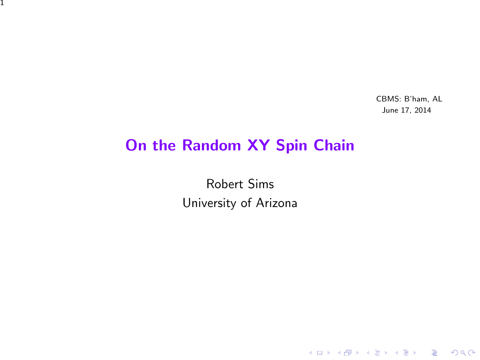CBMS: B'ham, AL June 17, 2014

K ロ ▶ K @ ▶ K 할 ▶ K 할 ▶ | 할 | ⊙Q @

### On the Random XY Spin Chain

1

Robert Sims University of Arizona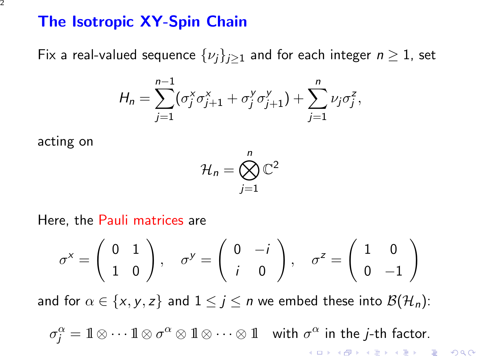### The Isotropic XY-Spin Chain

Fix a real-valued sequence  $\{\nu_i\}_{i\geq 1}$  and for each integer  $n \geq 1$ , set

$$
H_n = \sum_{j=1}^{n-1} (\sigma_j^x \sigma_{j+1}^x + \sigma_j^y \sigma_{j+1}^y) + \sum_{j=1}^n \nu_j \sigma_j^z,
$$

acting on

$$
\mathcal{H}_n = \bigotimes_{j=1}^n \mathbb{C}^2
$$

Here, the Pauli matrices are

$$
\sigma^x = \begin{pmatrix} 0 & 1 \\ 1 & 0 \end{pmatrix}, \quad \sigma^y = \begin{pmatrix} 0 & -i \\ i & 0 \end{pmatrix}, \quad \sigma^z = \begin{pmatrix} 1 & 0 \\ 0 & -1 \end{pmatrix}
$$

and for  $\alpha \in \{x, y, z\}$  and  $1 \leq j \leq n$  we embed these into  $\mathcal{B}(\mathcal{H}_n)$ :

 $\sigma_j^\alpha = 1\!\!1 \otimes \cdots 1\!\!1 \otimes \sigma^\alpha \otimes 1\!\!1 \otimes \cdots \otimes 1\!\!1\quad$  with  $\sigma^\alpha$  in the  $j$ -th factor. **K ロ ▶ K @ ▶ K 할 X X 할 X → 할 X → 9 Q Q ^**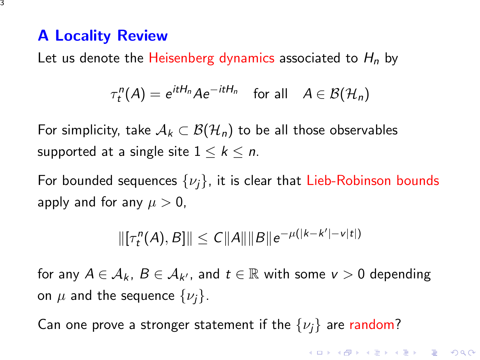## A Locality Review

Let us denote the Heisenberg dynamics associated to  $H_n$  by

$$
\tau_t^n(A) = e^{itH_n}Ae^{-itH_n} \quad \text{for all} \quad A \in \mathcal{B}(\mathcal{H}_n)
$$

For simplicity, take  $A_k \subset \mathcal{B}(\mathcal{H}_n)$  to be all those observables supported at a single site  $1 \leq k \leq n$ .

For bounded sequences  $\{\nu_j\}$ , it is clear that Lieb-Robinson bounds apply and for any  $\mu > 0$ ,

$$
\|[\tau_t^n(A),B]\| \le C\|A\|\|B\|e^{-\mu(|k-k'|-v|t|)}
$$

for any  $A \in \mathcal{A}_k$ ,  $B \in \mathcal{A}_{k'}$ , and  $t \in \mathbb{R}$  with some  $v > 0$  depending on  $\mu$  and the sequence  $\{\nu_i\}$ .

Can one prove a stronger statement if the  $\{\nu_i\}$  are random?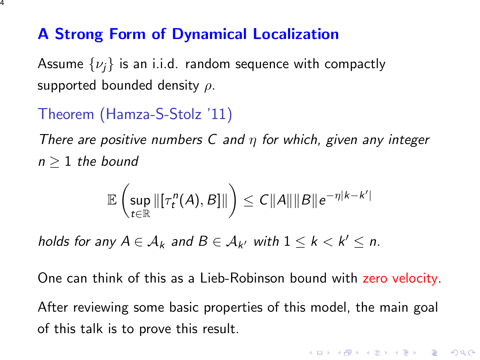## A Strong Form of Dynamical Localization

Assume  $\{\nu_i\}$  is an i.i.d. random sequence with compactly supported bounded density  $\rho$ .

# Theorem (Hamza-S-Stolz '11)

There are positive numbers C and  $\eta$  for which, given any integer  $n \geq 1$  the bound

$$
\mathbb{E}\left(\sup_{t\in\mathbb{R}}\left\|\left[\tau_t^n(A),B\right]\right\|\right)\leq C\|A\|\|B\|e^{-\eta|k-k'|}
$$

holds for any  $A \in \mathcal{A}_k$  and  $B \in \mathcal{A}_{k'}$  with  $1 \leq k < k' \leq n$ .

One can think of this as a Lieb-Robinson bound with zero velocity.

After reviewing some basic properties of this model, the main goal of this talk is to prove this result.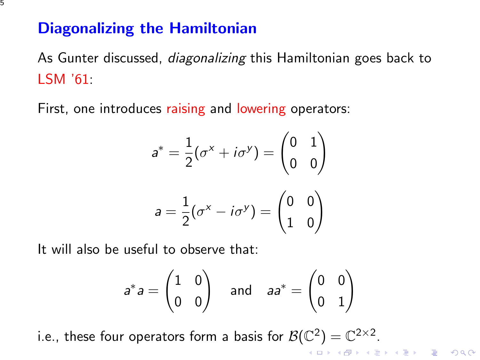## Diagonalizing the Hamiltonian

As Gunter discussed, *diagonalizing* this Hamiltonian goes back to LSM '61:

First, one introduces raising and lowering operators:

$$
a^* = \frac{1}{2}(\sigma^x + i\sigma^y) = \begin{pmatrix} 0 & 1 \\ 0 & 0 \end{pmatrix}
$$

$$
a = \frac{1}{2}(\sigma^x - i\sigma^y) = \begin{pmatrix} 0 & 0 \\ 1 & 0 \end{pmatrix}
$$

It will also be useful to observe that:

$$
a^*a = \begin{pmatrix} 1 & 0 \\ 0 & 0 \end{pmatrix} \quad \text{and} \quad aa^* = \begin{pmatrix} 0 & 0 \\ 0 & 1 \end{pmatrix}
$$

i.e., these four operators form a basis for  $\mathcal{B}(\mathbb{C}^2)=\mathbb{C}^{2\times 2}.$ **K ロ ▶ K @ ▶ K 할 X X 할 X → 할 X → 9 Q Q ^**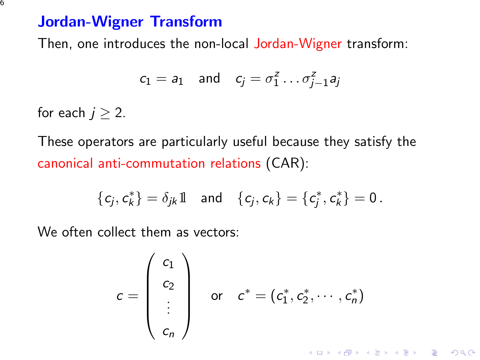### Jordan-Wigner Transform

Then, one introduces the non-local Jordan-Wigner transform:

$$
c_1 = a_1 \quad \text{and} \quad c_j = \sigma_1^z \dots \sigma_{j-1}^z a_j
$$

for each  $j \geq 2$ .

These operators are particularly useful because they satisfy the canonical anti-commutation relations (CAR):

$$
\{c_j,c_k^*\}=\delta_{jk}1\quad\text{and}\quad \{c_j,c_k\}=\{c_j^*,c_k^*\}=0\,.
$$

We often collect them as vectors:

$$
c = \begin{pmatrix} c_1 \\ c_2 \\ \vdots \\ c_n \end{pmatrix} \quad \text{or} \quad c^* = (c_1^*, c_2^*, \cdots, c_n^*)
$$

K ロ ▶ K @ ▶ K 할 > K 할 > 1 할 > 1 이익어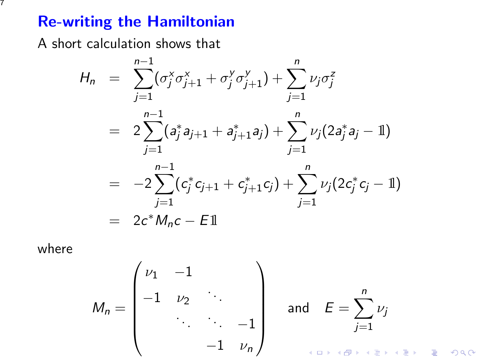# Re-writing the Hamiltonian

A short calculation shows that

$$
H_n = \sum_{j=1}^{n-1} (\sigma_j^x \sigma_{j+1}^x + \sigma_j^y \sigma_{j+1}^y) + \sum_{j=1}^n \nu_j \sigma_j^z
$$
  
=  $2 \sum_{j=1}^{n-1} (a_j^* a_{j+1} + a_{j+1}^* a_j) + \sum_{j=1}^n \nu_j (2a_j^* a_j - 1)$   
=  $-2 \sum_{j=1}^{n-1} (c_j^* c_{j+1} + c_{j+1}^* c_j) + \sum_{j=1}^n \nu_j (2c_j^* c_j - 1)$   
=  $2c^* M_n c - E1$ 

where

$$
M_n = \begin{pmatrix} \nu_1 & -1 & & & \\ -1 & \nu_2 & \cdots & \\ & \ddots & \ddots & -1 \\ & & -1 & \nu_n \end{pmatrix} \quad \text{and} \quad E = \sum_{j=1}^n \nu_j
$$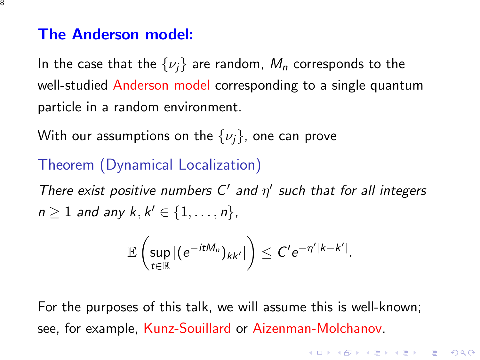#### The Anderson model:

In the case that the  $\{\nu_i\}$  are random,  $M_n$  corresponds to the well-studied Anderson model corresponding to a single quantum particle in a random environment.

With our assumptions on the  $\{\nu_i\}$ , one can prove

### Theorem (Dynamical Localization)

There exist positive numbers  $C'$  and  $\eta'$  such that for all integers  $n \geq 1$  and any  $k, k' \in \{1, \ldots, n\}$ ,

$$
\mathbb{E}\left(\sup_{t\in\mathbb{R}}|(e^{-itM_n})_{kk'}|\right)\leq C'e^{-\eta' |k-k'|}.
$$

For the purposes of this talk, we will assume this is well-known; see, for example, Kunz-Souillard or Aizenman-Molchanov.

4 D > 4 P + 4 B + 4 B + B + 9 Q O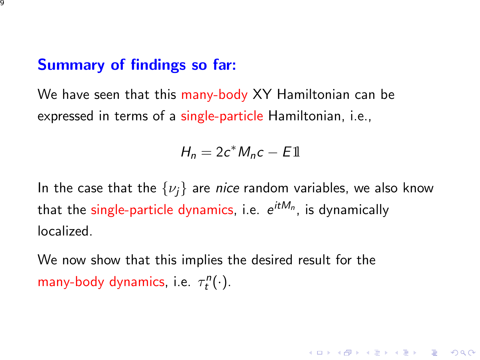### Summary of findings so far:

We have seen that this many-body XY Hamiltonian can be expressed in terms of a single-particle Hamiltonian, i.e.,

$$
H_n = 2c^*M_nc - E1
$$

In the case that the  $\{\nu_i\}$  are nice random variables, we also know that the single-particle dynamics, i.e.  $\,e^{it M_n}$ , is dynamically localized.

We now show that this implies the desired result for the many-body dynamics, i.e.  $\tau_t^n(\cdot)$ .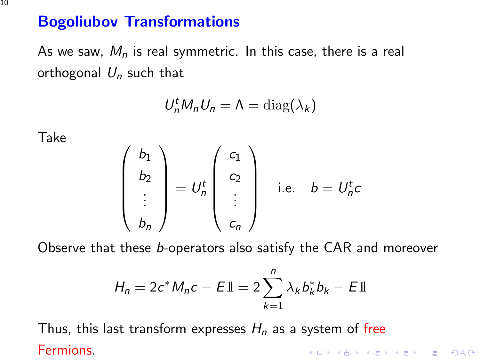# Bogoliubov Transformations

As we saw,  $M_n$  is real symmetric. In this case, there is a real orthogonal  $U_n$  such that

$$
U_n^t M_n U_n = \Lambda = \text{diag}(\lambda_k)
$$

Take

$$
\begin{pmatrix} b_1 \\ b_2 \\ \vdots \\ b_n \end{pmatrix} = U_n^t \begin{pmatrix} c_1 \\ c_2 \\ \vdots \\ c_n \end{pmatrix}
$$
 i.e.  $b = U_n^t c$ 

Observe that these b-operators also satisfy the CAR and moreover

$$
H_n = 2c^* M_n c - E11 = 2 \sum_{k=1}^n \lambda_k b_k^* b_k - E11
$$

Thus, this last transform expresses  $H_n$  as a system of free Fermions.**K ロ ▶ K @ ▶ K 할 X X 할 X → 할 X → 9 Q Q ^**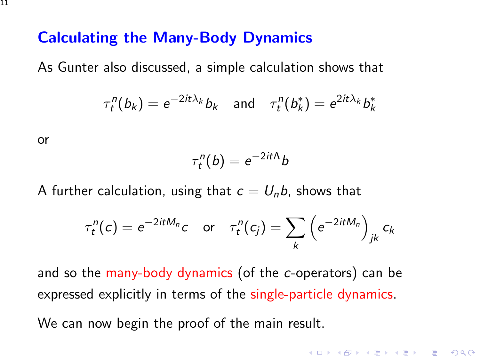## Calculating the Many-Body Dynamics

As Gunter also discussed, a simple calculation shows that

$$
\tau_t^n(b_k) = e^{-2it\lambda_k}b_k \quad \text{and} \quad \tau_t^n(b_k^*) = e^{2it\lambda_k}b_k^*
$$

or

$$
\tau^n_t(b) = e^{-2itA}b
$$

A further calculation, using that  $c = U<sub>n</sub>b$ , shows that

$$
\tau_t^n(c) = e^{-2itM_n}c \quad \text{or} \quad \tau_t^n(c_j) = \sum_k \left(e^{-2itM_n}\right)_{jk} c_k
$$

4 D > 4 P + 4 B + 4 B + B + 9 Q O

and so the many-body dynamics (of the c-operators) can be expressed explicitly in terms of the single-particle dynamics.

We can now begin the proof of the main result.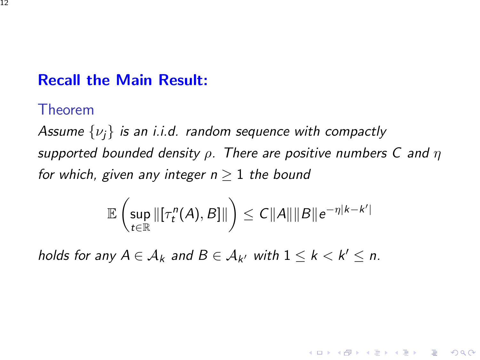## Recall the Main Result:

#### Theorem

Assume  $\{\nu_i\}$  is an i.i.d. random sequence with compactly supported bounded density  $\rho$ . There are positive numbers C and  $\eta$ for which, given any integer  $n > 1$  the bound

$$
\mathbb{E}\left(\sup_{t\in\mathbb{R}}\|[\tau_t^n(A),B]\|\right)\leq C\|A\|\|B\|e^{-\eta|k-k'|}
$$

**KORKAR KERKER EL VOLO** 

holds for any  $A \in \mathcal{A}_k$  and  $B \in \mathcal{A}_{k'}$  with  $1 \leq k < k' \leq n$ .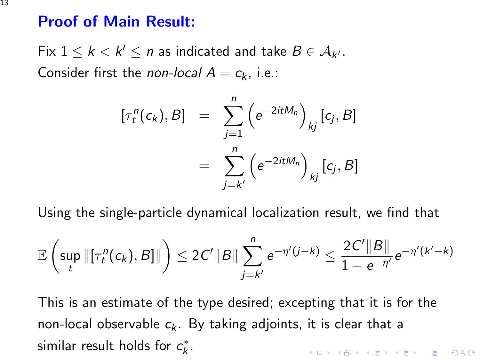### Proof of Main Result:

Fix  $1 \leq k < k' \leq n$  as indicated and take  $B \in \mathcal{A}_{k'}$ . Consider first the non-local  $A = c_k$ , i.e.:

$$
[\tau_t^n(c_k), B] = \sum_{j=1}^n (e^{-2itM_n})_{kj} [c_j, B]
$$
  
= 
$$
\sum_{j=k'}^n (e^{-2itM_n})_{kj} [c_j, B]
$$

Using the single-particle dynamical localization result, we find that

$$
\mathbb{E}\left(\sup_{t}\|[\tau^n_t(c_k),B]\|\right)\leq 2C'\|B\|\sum_{j=k'}^n e^{-\eta'(j-k)}\leq \frac{2C'\|B\|}{1-e^{-\eta'}}e^{-\eta'(k'-k)}
$$

This is an estimate of the type desired; excepting that it is for the non-local observable  $c_k$ . By taking adjoints, it is clear that a similar result holds for  $c_k^*$ . KID KA KERKER KID KO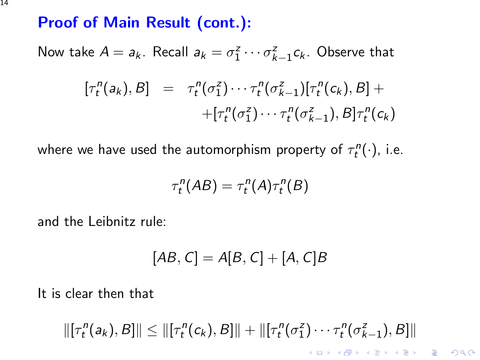## Proof of Main Result (cont.):

Now take  $A = a_k$ . Recall  $a_k = \sigma_1^z \cdots \sigma_{k-1}^z c_k$ . Observe that  $[\tau_t^n(a_k), B] = \tau_t^n(\sigma_1^z) \cdots \tau_t^n(\sigma_{k-1}^z) [\tau_t^n(c_k), B] +$  $+[\tau_t^n(\sigma_1^z)\cdots\tau_t^n(\sigma_{k-1}^z),\mathcal{B}] \tau_t^n(c_k)$ 

where we have used the automorphism property of  $\tau^n_t(\cdot)$ , i.e.

$$
\tau_t^n(AB) = \tau_t^n(A)\tau_t^n(B)
$$

and the Leibnitz rule:

$$
[AB, C] = A[B, C] + [A, C]B
$$

It is clear then that

 $\|[\tau_t^n(a_k), B]\| \leq \|[\tau_t^n(c_k), B]\| + \|[\tau_t^n(\sigma_1^z) \cdots \tau_t^n(\sigma_{k-1}^z), B]\|$ **KORKAR KERKER EL VOLO** 

14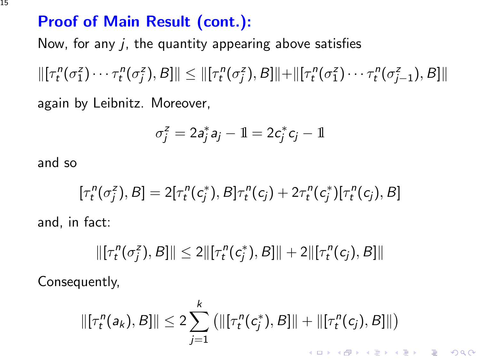# Proof of Main Result (cont.):

Now, for any  $i$ , the quantity appearing above satisfies

 $\|[\tau_t^n(\sigma_1^z)\cdots\tau_t^n(\sigma_j^z),\beta]\| \le \|[ \tau_t^n(\sigma_j^z),\beta]\| + \|[\tau_t^n(\sigma_1^z)\cdots\tau_t^n(\sigma_{j-1}^z),\beta]\|$ again by Leibnitz. Moreover,

$$
\sigma_j^z = 2a_j^*a_j - 1\!\!1 = 2c_j^*c_j - 1\!\!1
$$

and so

and,

$$
[\tau_t^n(\sigma_j^z), B] = 2[\tau_t^n(c_j^*), B]\tau_t^n(c_j) + 2\tau_t^n(c_j^*)[\tau_t^n(c_j), B]
$$
  
in fact:

 $\|\pi_t^n(\sigma_j^z), B\| \leq 2\|\pi_t^n(c_j^*), B\| + 2\|\pi_t^n(c_j), B\|$ 

Consequently,

$$
\|[\tau_t^n(a_k), B]\| \leq 2 \sum_{j=1}^k \left( \|[\tau_t^n(c_j^*), B]\| + \|[\tau_t^n(c_j), B]\| \right)
$$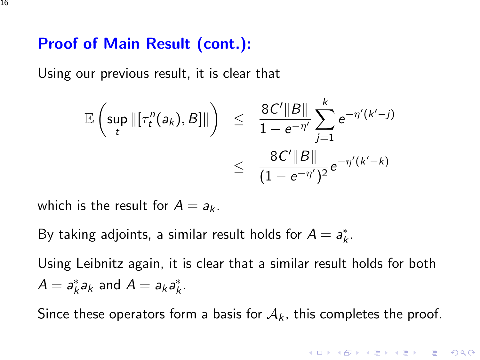### Proof of Main Result (cont.):

Using our previous result, it is clear that

$$
\mathbb{E}\left(\sup_{t}\|[\tau_t^n(a_k),B]\|\right) \leq \frac{8C'\|B\|}{1-e^{-\eta'}}\sum_{j=1}^k e^{-\eta'(k'-j)} \leq \frac{8C'\|B\|}{(1-e^{-\eta'})^2}e^{-\eta'(k'-k)}
$$

which is the result for  $A = a_k$ .

By taking adjoints, a similar result holds for  $A = a_k^*$ .

Using Leibnitz again, it is clear that a similar result holds for both  $A = a_k^* a_k$  and  $A = a_k a_k^*$ .

Since these operators form a basis for  $A_k$ , this completes the proof.

4 D > 4 P + 4 B + 4 B + B + 9 Q O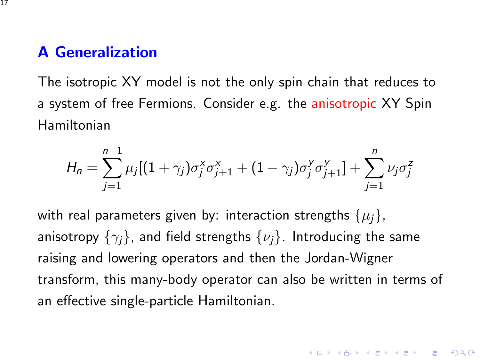#### A Generalization

The isotropic XY model is not the only spin chain that reduces to a system of free Fermions. Consider e.g. the anisotropic XY Spin Hamiltonian

$$
H_n = \sum_{j=1}^{n-1} \mu_j [(1+\gamma_j)\sigma_j^x \sigma_{j+1}^x + (1-\gamma_j)\sigma_j^y \sigma_{j+1}^y] + \sum_{j=1}^n \nu_j \sigma_j^z
$$

with real parameters given by: interaction strengths  $\{\mu_i\},\$ anisotropy  $\{\gamma_i\}$ , and field strengths  $\{\nu_i\}$ . Introducing the same raising and lowering operators and then the Jordan-Wigner transform, this many-body operator can also be written in terms of an effective single-particle Hamiltonian.

4 D > 4 P + 4 B + 4 B + B + 9 Q O

17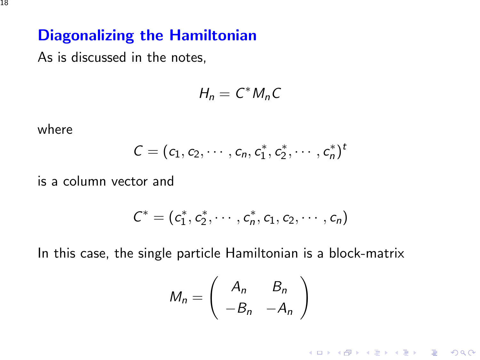As is discussed in the notes,

$$
H_n=C^*M_nC
$$

where

$$
C=(c_1,c_2,\cdots,c_n,c_1^*,c_2^*,\cdots,c_n^*)^t
$$

is a column vector and

$$
C^* = (c_1^*, c_2^*, \cdots, c_n^*, c_1, c_2, \cdots, c_n)
$$

In this case, the single particle Hamiltonian is a block-matrix

$$
M_n = \left(\begin{array}{cc} A_n & B_n \\ -B_n & -A_n \end{array}\right)
$$

K ロ X K (P) X (E) X (E) X (E) X (P) Q (P)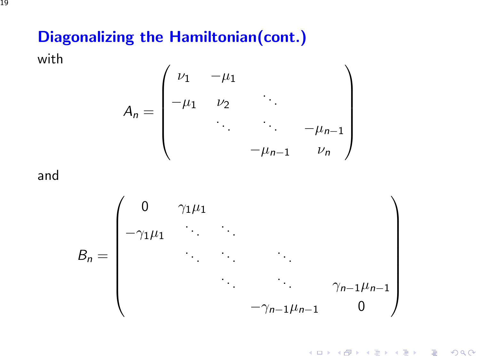# Diagonalizing the Hamiltonian(cont.)

with

$$
A_n = \begin{pmatrix} \nu_1 & -\mu_1 & & & \\ -\mu_1 & \nu_2 & \ddots & & \\ & \ddots & \ddots & -\mu_{n-1} \\ & & -\mu_{n-1} & \nu_n \end{pmatrix}
$$

and



**KORK ERKER ADE YOUR**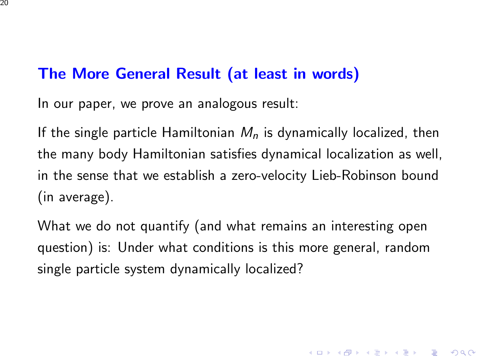## The More General Result (at least in words)

In our paper, we prove an analogous result:

If the single particle Hamiltonian  $M<sub>n</sub>$  is dynamically localized, then the many body Hamiltonian satisfies dynamical localization as well, in the sense that we establish a zero-velocity Lieb-Robinson bound (in average).

What we do not quantify (and what remains an interesting open question) is: Under what conditions is this more general, random single particle system dynamically localized?

**K ロ ▶ K @ ▶ K 할 X X 할 X → 할 X → 9 Q Q ^**